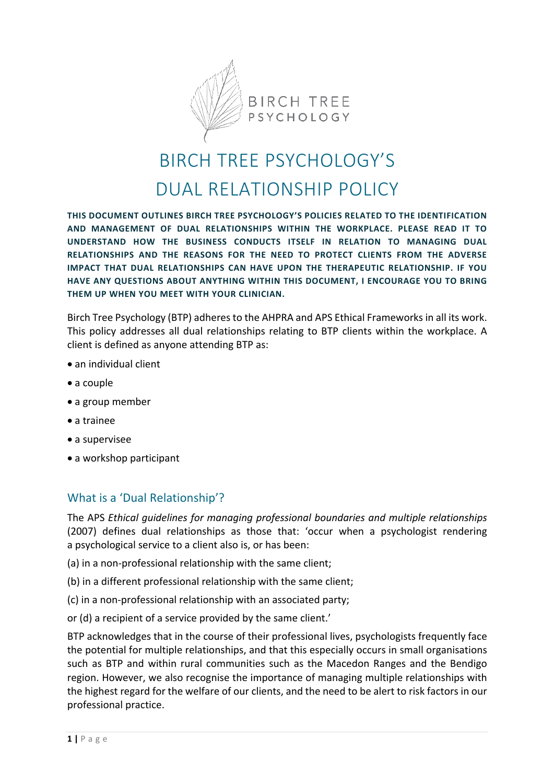

## BIRCH TREE PSYCHOLOGY'S DUAL RELATIONSHIP POLICY

**THIS DOCUMENT OUTLINES BIRCH TREE PSYCHOLOGY'S POLICIES RELATED TO THE IDENTIFICATION AND MANAGEMENT OF DUAL RELATIONSHIPS WITHIN THE WORKPLACE. PLEASE READ IT TO UNDERSTAND HOW THE BUSINESS CONDUCTS ITSELF IN RELATION TO MANAGING DUAL RELATIONSHIPS AND THE REASONS FOR THE NEED TO PROTECT CLIENTS FROM THE ADVERSE IMPACT THAT DUAL RELATIONSHIPS CAN HAVE UPON THE THERAPEUTIC RELATIONSHIP. IF YOU HAVE ANY QUESTIONS ABOUT ANYTHING WITHIN THIS DOCUMENT, I ENCOURAGE YOU TO BRING THEM UP WHEN YOU MEET WITH YOUR CLINICIAN.**

Birch Tree Psychology (BTP) adheres to the AHPRA and APS Ethical Frameworks in all its work. This policy addresses all dual relationships relating to BTP clients within the workplace. A client is defined as anyone attending BTP as:

- an individual client
- a couple
- a group member
- a trainee
- a supervisee
- a workshop participant

## What is a 'Dual Relationship'?

The APS *Ethical guidelines for managing professional boundaries and multiple relationships* (2007) defines dual relationships as those that: 'occur when a psychologist rendering a psychological service to a client also is, or has been:

- (a) in a non-professional relationship with the same client;
- (b) in a different professional relationship with the same client;
- (c) in a non-professional relationship with an associated party;
- or (d) a recipient of a service provided by the same client.'

BTP acknowledges that in the course of their professional lives, psychologists frequently face the potential for multiple relationships, and that this especially occurs in small organisations such as BTP and within rural communities such as the Macedon Ranges and the Bendigo region. However, we also recognise the importance of managing multiple relationships with the highest regard for the welfare of our clients, and the need to be alert to risk factors in our professional practice.